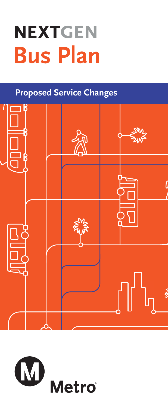# **NEXTGEN Bus Plan**

# **Proposed Service Changes**



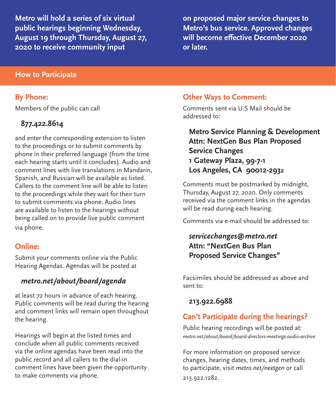**Metro will hold a series of six virtual public hearings beginning Wednesday, August 19 through Thursday, August 27, 2020 to receive community input** 

**on proposed major service changes to Metro's bus service. Approved changes will become effective December 2020 or later.** 

#### **How to Participate**

#### **By Phone:**

Members of the public can call

# **877.422.8614**

and enter the corresponding extension to listen to the proceedings or to submit comments by phone in their preferred language (from the time each hearing starts until it concludes). Audio and comment lines with live translations in Mandarin, Spanish, and Russian will be available as listed. Callers to the comment line will be able to listen to the proceedings while they wait for their turn to submit comments via phone. Audio lines are available to listen to the hearings without being called on to provide live public comment via phone.

# **Online:**

Submit your comments online via the Public Hearing Agendas. Agendas will be posted at

#### *metro.net/about/board/agenda*

at least 72 hours in advance of each hearing. Public comments will be read during the hearing and comment links will remain open throughout the hearing.

Hearings will begin at the listed times and conclude when all public comments received via the online agendas have been read into the public record and all callers to the dial-in comment lines have been given the opportunity to make comments via phone.

#### **Other Ways to Comment:**

Comments sent via U.S Mail should be addressed to:

# **Metro Service Planning & Development Attn: NextGen Bus Plan Proposed Service Changes 1 Gateway Plaza, 99-7-1 Los Angeles, CA 90012-2932**

Comments must be postmarked by midnight, Thursday, August 27, 2020. Only comments received via the comment links in the agendas will be read during each hearing.

Comments via e-mail should be addressed to:

# *servicechanges@metro.net* **Attn: "NextGen Bus Plan Proposed Service Changes"**

Facsimiles should be addressed as above and sent to:

#### **213.922.6988**

#### **Can't Participate during the hearings?**

Public hearing recordings will be posted at: *metro.net/about/board/board-directors-meetings-audio-archive*

For more information on proposed service changes, hearing dates, times, and methods to participate, visit *metro.net/nextgen* or call 213.922.1282.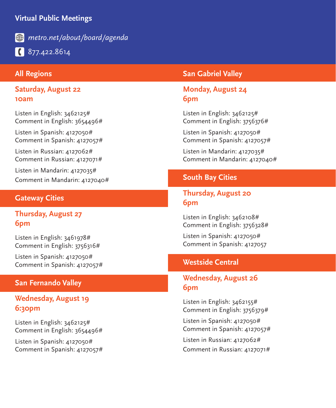# **Virtual Public Meetings**



*metro.net/about/board/agenda*

877.422.8614

#### **All Regions**

**Saturday, August 22 10am**

Listen in English: 3462125# Comment in English: 3654496#

Listen in Spanish: 4127050# Comment in Spanish: 4127057#

Listen in Russian: 4127062# Comment in Russian: 4127071#

Listen in Mandarin: 4127035# Comment in Mandarin: 4127040#

#### **Gateway Cities**

**Thursday, August 27 6pm**

Listen in English: 3461978# Comment in English: 3756316#

Listen in Spanish: 4127050# Comment in Spanish: 4127057#

#### **San Fernando Valley**

# **Wednesday, August 19 6:30pm**

Listen in English: 3462125# Comment in English: 3654496#

Listen in Spanish: 4127050# Comment in Spanish: 4127057#

#### **San Gabriel Valley**

#### **Monday, August 24 6pm**

Listen in English: 3462125# Comment in English: 3756376#

Listen in Spanish: 4127050# Comment in Spanish: 4127057#

Listen in Mandarin: 4127035# Comment in Mandarin: 4127040#

#### **South Bay Cities**

# **Thursday, August 20 6pm**

Listen in English: 3462108# Comment in English: 3756328#

Listen in Spanish: 4127050# Comment in Spanish: 4127057

#### **Westside Central**

# **Wednesday, August 26 6pm**

Listen in English: 3462155# Comment in English: 3756379#

Listen in Spanish: 4127050# Comment in Spanish: 4127057#

Listen in Russian: 4127062# Comment in Russian: 4127071#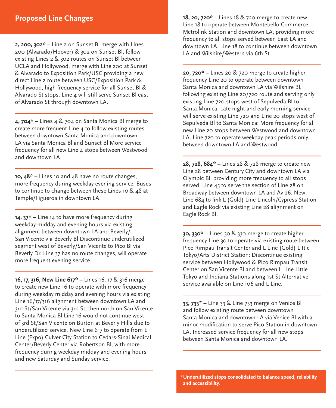#### **Proposed Line Changes**

**2, 200, 302\* –** Line 2 on Sunset Bl merge with Lines 200 (Alvarado/Hoover) & 302 on Sunset Bl, follow existing Lines 2 & 302 routes on Sunset Bl between UCLA and Hollywood, merge with Line 200 at Sunset & Alvarado to Exposition Park/USC providing a new direct Line 2 route between USC/Exposition Park & Hollywood, high frequency service for all Sunset Bl & Alvarado St stops. Line 4 will still serve Sunset Bl east of Alvarado St through downtown LA.

**4, 704\* –** Lines 4 & 704 on Santa Monica Bl merge to create more frequent Line 4 to follow existing routes between downtown Santa Monica and downtown LA via Santa Monica Bl and Sunset Bl More service frequency for all new Line 4 stops between Westwood and downtown LA.

**10, 48\* –** Lines 10 and 48 have no route changes, more frequency during weekday evening service. Buses to continue to change between these Lines 10 & 48 at Temple/Figueroa in downtown LA.

**14, 37\* –** Line 14 to have more frequency during weekday midday and evening hours via existing alignment between downtown LA and Beverly/ San Vicente via Beverly Bl Discontinue underutilized segment west of Beverly/San Vicente to Pico Bl via Beverly Dr. Line 37 has no route changes, will operate more frequent evening service.

**16, 17, 316, New Line 617\* –** Lines 16, 17 & 316 merge to create new Line 16 to operate with more frequency during weekday midday and evening hours via existing Line 16/17/316 alignment between downtown LA and 3rd St/San Vicente via 3rd St, then north on San Vicente to Santa Monica Bl Line 16 would not continue west of 3rd St/San Vicente on Burton at Beverly Hills due to underutilized service. New Line 617 to operate from E Line (Expo) Culver City Station to Cedars-Sinai Medical Center/Beverly Center via Robertson Bl, with more frequency during weekday midday and evening hours and new Saturday and Sunday service.

**18, 20, 720\* –** Lines 18 & 720 merge to create new Line 18 to operate between Montebello-Commerce Metrolink Station and downtown LA, providing more frequency to all stops served between East LA and downtown LA. Line 18 to continue between downtown LA and Wilshire/Western via 6th St.

**20, 720\* –** Lines 20 & 720 merge to create higher frequency Line 20 to operate between downtown Santa Monica and downtown LA via Wilshire Bl, following existing Line 20/720 route and serving only existing Line 720 stops west of Sepulveda Bl to Santa Monica. Late night and early morning service will serve existing Line 720 and Line 20 stops west of Sepulveda Bl to Santa Monica: More frequency for all new Line 20 stops between Westwood and downtown LA. Line 720 to operate weekday peak periods only between downtown LA and Westwood.

**28, 728, 684\* –** Lines 28 & 728 merge to create new Line 28 between Century City and downtown LA via Olympic Bl, providing more frequency to all stops served. Line 45 to serve the section of Line 28 on Broadway between downtown LA and Av 26. New Line 684 to link L (Gold) Line Lincoln/Cypress Station and Eagle Rock via existing Line 28 alignment on Eagle Rock Bl.

**30, 330\* –** Lines 30 & 330 merge to create higher frequency Line 30 to operate via existing route between Pico Rimpau Transit Center and L Line (Gold) Little Tokyo/Arts District Station: Discontinue existing service between Hollywood & Pico Rimpau Transit Center on San Vicente Bl and between L Line Little Tokyo and Indiana Stations along 1st St Alternative service available on Line 106 and L Line.

**33, 733\* –** Line 33 & Line 733 merge on Venice Bl and follow existing route between downtown Santa Monica and downtown LA via Venice Bl with a minor modification to serve Pico Station in downtown LA. Increased service frequency for all new stops between Santa Monica and downtown LA.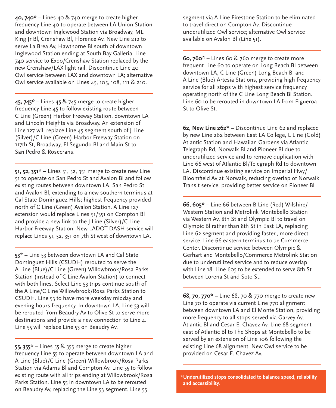**40, 740\* –** Lines 40 & 740 merge to create higher frequency Line 40 to operate between LA Union Station and downtown Inglewood Station via Broadway, ML King Jr Bl, Crenshaw Bl, Florence Av. New Line 212 to serve La Brea Av, Hawthorne Bl south of downtown Inglewood Station ending at South Bay Galleria. Line 740 service to Expo/Crenshaw Station replaced by the new Crenshaw/LAX light rail. Discontinue Line 40 Owl service between LAX and downtown LA; alternative Owl service available on Lines 45, 105, 108, 111 & 210.

**45, 745\* –** Lines 45 & 745 merge to create higher frequency Line 45 to follow existing route between C Line (Green) Harbor Freeway Station, downtown LA and Lincoln Heights via Broadway. An extension of Line 127 will replace Line 45 segment south of J Line (Silver)/C Line (Green) Harbor Freeway Station on 117th St, Broadway, El Segundo Bl and Main St to San Pedro & Rosecrans.

**51, 52, 351\* –** Lines 51, 52, 351 merge to create new Line 51 to operate on San Pedro St and Avalon Bl and follow existing routes between downtown LA, San Pedro St and Avalon Bl, extending to a new southern terminus at Cal State Dominguez Hills; highest frequency provided north of C Line (Green) Avalon Station. A Line 127 extension would replace Lines 51/351 on Compton Bl and provide a new link to the J Line (Silver)/C Line Harbor Freeway Station. New LADOT DASH service will replace Lines 51, 52, 351 on 7th St west of downtown LA.

**53\* –** Line 53 between downtown LA and Cal State Dominguez Hills (CSUDH) rerouted to serve the A Line (Blue)/C Line (Green) Willowbrook/Rosa Parks Station (instead of C Line Avalon Station) to connect with both lines. Select Line 53 trips continue south of the A Line/C Line Willowbrook/Rosa Parks Station to CSUDH. Line 53 to have more weekday midday and evening hours frequency. In downtown LA, Line 53 will be rerouted from Beaudry Av to Olive St to serve more destinations and provide a new connection to Line 4. Line 55 will replace Line 53 on Beaudry Av.

**55, 355\* –** Lines 55 & 355 merge to create higher frequency Line 55 to operate between downtown LA and A Line (Blue)/C Line (Green) Willowbrook/Rosa Parks Station via Adams Bl and Compton Av. Line 55 to follow existing route with all trips ending at Willowbrook/Rosa Parks Station. Line 55 in downtown LA to be rerouted on Beaudry Av, replacing the Line 53 segment. Line 55

segment via A Line Firestone Station to be eliminated to travel direct on Compton Av. Discontinue underutilized Owl service; alternative Owl service available on Avalon Bl (Line 51).

**60, 760\* –** Lines 60 & 760 merge to create more frequent Line 60 to operate on Long Beach Bl between downtown LA, C Line (Green) Long Beach Bl and A Line (Blue) Artesia Stations, providing high frequency service for all stops with highest service frequency operating north of the C Line Long Beach Bl Station. Line 60 to be rerouted in downtown LA from Figueroa St to Olive St.

**62, New Line 262\* –** Discontinue Line 62 and replaced by new Line 262 between East LA College, L Line (Gold) Atlantic Station and Hawaiian Gardens via Atlantic, Telegraph Rd, Norwalk Bl and Pioneer Bl due to underutilized service and to remove duplication with Line 66 west of Atlantic Bl/Telegraph Rd to downtown LA. Discontinue existing service on Imperial Hwy/ Bloomfield Av at Norwalk, reducing overlap of Norwalk Transit service, providing better service on Pioneer Bl

**66, 605\* –** Line 66 between B Line (Red) Wilshire/ Western Station and Metrolink Montebello Station via Western Av, 8th St and Olympic Bl to travel on Olympic Bl rather than 8th St in East LA, replacing Line 62 segment and providing faster,, more direct service. Line 66 eastern terminus to be Commerce Center. Discontinue service between Olympic & Gerhart and Montebello/Commerce Metrolink Station due to underutilized service and to reduce overlap with Line 18. Line 605 to be extended to serve 8th St between Lorena St and Soto St.

**68, 70, 770\* –** Line 68, 70 & 770 merge to create new Line 70 to operate via current Line 770 alignment between downtown LA and El Monte Station, providing more frequency to all stops served via Garvey Av, Atlantic Bl and Cesar E. Chavez Av. Line 68 segment east of Atlantic Bl to The Shops at Montebello to be served by an extension of Line 106 following the existing Line 68 alignment. New Owl service to be provided on Cesar E. Chavez Av.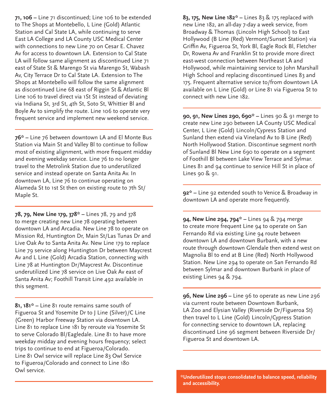**71, 106 –** Line 71 discontinued; Line 106 to be extended to The Shops at Montebello, L Line (Gold) Atlantic Station and Cal State LA, while continuing to serve East LA College and LA County USC Medical Center with connections to new Line 70 on Cesar E. Chavez Av for access to downtown LA. Extension to Cal State LA will follow same alignment as discontinued Line 71 east of State St & Marengo St via Marengo St, Wabash Av, City Terrace Dr to Cal State LA. Extension to The Shops at Montebello will follow the same alignment as discontinued Line 68 east of Riggin St & Atlantic Bl Line 106 to travel direct via 1St St instead of deviating via Indiana St, 3rd St, 4th St, Soto St, Whittier Bl and Boyle Av to simplify the route. Line 106 to operate very frequent service and implement new weekend service.

**76\* –** Line 76 between downtown LA and El Monte Bus Station via Main St and Valley Bl to continue to follow most of existing alignment, with more frequent midday and evening weekday service. Line 76 to no longer travel to the Metrolink Station due to underutilized service and instead operate on Santa Anita Av. In downtown LA, Line 76 to continue operating on Alameda St to 1st St then on existing route to 7th St/ Maple St.

**78, 79, New Line 179, 378\* –** Lines 78, 79 and 378 to merge creating new Line 78 operating between downtown LA and Arcadia. New Line 78 to operate on Mission Rd, Huntington Dr, Main St/Las Tunas Dr and Live Oak Av to Santa Anita Av. New Line 179 to replace Line 79 service along Huntington Dr between Maycrest Av and L Line (Gold) Arcadia Station, connecting with Line 78 at Huntington Dr/Maycrest Av. Discontinue underutilized Line 78 service on Live Oak Av east of Santa Anita Av; Foothill Transit Line 492 available in this segment.

**81, 181\* –** Line 81 route remains same south of Figueroa St and Yosemite Dr to J Line (Silver)/C Line (Green) Harbor Freeway Station via downtown LA. Line 81 to replace Line 181 by reroute via Yosemite St to serve Colorado Bl/Eagledale. Line 81 to have more weekday midday and evening hours frequency; select trips to continue to end at Figueroa/Colorado. Line 81 Owl service will replace Line 83 Owl Service to Figueroa/Colorado and connect to Line 180 Owl service.

**83, 175, New Line 182\* –** Lines 83 & 175 replaced with new Line 182, an all-day 7-day a week service, from Broadway & Thomas (Lincoln High School) to East Hollywood (B Line (Red) Vermont/Sunset Station) via Griffin Av, Figueroa St, York Bl, Eagle Rock Bl, Fletcher Dr, Rowena Av and Franklin St to provide more direct east-west connection between Northeast LA and Hollywood, while maintaining service to John Marshall High School and replacing discontinued Lines 83 and 175. Frequent alternative service to/from downtown LA available on L Line (Gold) or Line 81 via Figueroa St to connect with new Line 182.

**90, 91, New Lines 290, 690\* –** Lines 90 & 91 merge to create new Line 290 between LA County USC Medical Center, L Line (Gold) Lincoln/Cypress Station and Sunland then extend via Vineland Av to B Line (Red) North Hollywood Station. Discontinue segment north of Sunland Bl New Line 690 to operate on a segment of Foothill Bl between Lake View Terrace and Sylmar. Lines 81 and 94 continue to service Hill St in place of Lines 90 & 91.

**92\* –** Line 92 extended south to Venice & Broadway in downtown LA and operate more frequently.

**94, New Line 294, 794\* –** Lines 94 & 794 merge to create more frequent Line 94 to operate on San Fernando Rd via existing Line 94 route between downtown LA and downtown Burbank, with a new route through downtown Glendale then extend west on Magnolia Bl to end at B Line (Red) North Hollywood Station. New Line 294 to operate on San Fernando Rd between Sylmar and downtown Burbank in place of existing Lines 94 & 794.

**96, New Line 296 –** Line 96 to operate as new Line 296 via current route between Downtown Burbank, LA Zoo and Elysian Valley (Riverside Dr/Figueroa St) then travel to L Line (Gold) Lincoln/Cypress Station for connecting service to downtown LA, replacing discontinued Line 96 segment between Riverside Dr/ Figueroa St and downtown LA.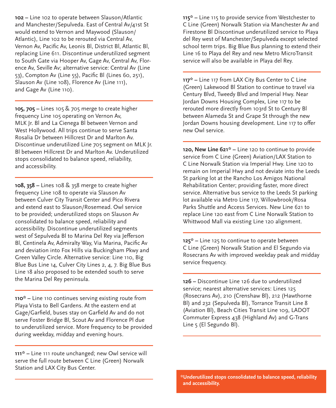**102 –** Line 102 to operate between Slauson/Atlantic and Manchester/Sepulveda. East of Central Av/41st St would extend to Vernon and Maywood (Slauson/ Atlantic), Line 102 to be rerouted via Central Av, Vernon Av, Pacific Av, Leonis Bl, District Bl, Atlantic Bl, replacing Line 611. Discontinue underutilized segment to South Gate via Hooper Av, Gage Av, Central Av, Florence Av, Seville Av; alternative service: Central Av (Line 53), Compton Av (Line 55), Pacific Bl (Lines 60, 251), Slauson Av (Line 108), Florence Av (Line 111), and Gage Av (Line 110).

**105, 705 –** Lines 105 & 705 merge to create higher frequency Line 105 operating on Vernon Av, MLK Jr. Bl and La Cienega Bl between Vernon and West Hollywood. All trips continue to serve Santa Rosalia Dr between Hillcrest Dr and Marlton Av. Discontinue underutilized Line 705 segment on MLK Jr. Bl between Hillcrest Dr and Marlton Av. Underutilized stops consolidated to balance speed, reliability, and accessibility.

**108, 358 –** Lines 108 & 358 merge to create higher frequency Line 108 to operate via Slauson Av between Culver City Transit Center and Pico Rivera and extend east to Slauson/Rosemead. Owl service to be provided; underutilized stops on Slauson Av consolidated to balance speed, reliability and accessibility. Discontinue underutilized segments west of Sepulveda Bl to Marina Del Rey via Jefferson Bl, Centinela Av, Admiralty Way, Via Marina, Pacific Av and deviation into Fox Hills via Buckingham Pkwy and Green Valley Circle. Alternative service: Line 110, Big Blue Bus Line 14, Culver City Lines 2, 4, 7. Big Blue Bus Line 18 also proposed to be extended south to serve the Marina Del Rey peninsula.

**110\* –** Line 110 continues serving existing route from Playa Vista to Bell Gardens. At the eastern end at Gage/Garfield, buses stay on Garfield Av and do not serve Foster Bridge Bl, Scout Av and Florence Pl due to underutilized service. More frequency to be provided during weekday, midday and evening hours.

**111\* –** Line 111 route unchanged; new Owl service will serve the full route between C Line (Green) Norwalk Station and LAX City Bus Center.

**115\* –** Line 115 to provide service from Westchester to C Line (Green) Norwalk Station via Manchester Av and Firestone Bl Discontinue underutilized service to Playa del Rey west of Manchester/Sepulveda except selected school term trips. Big Blue Bus planning to extend their Line 16 to Playa del Rey and new Metro MicroTransit service will also be available in Playa del Rey.

**117\* –** Line 117 from LAX City Bus Center to C Line (Green) Lakewood Bl Station to continue to travel via Century Blvd, Tweedy Blvd and Imperial Hwy. Near Jordan Downs Housing Complex, Line 117 to be rerouted more directly from 103rd St to Century Bl between Alameda St and Grape St through the new Jordan Downs housing development. Line 117 to offer new Owl service.

**120, New Line 621\* –** Line 120 to continue to provide service from C Line (Green) Aviation/LAX Station to C Line Norwalk Station via Imperial Hwy. Line 120 to remain on Imperial Hwy and not deviate into the Leeds St parking lot at the Rancho Los Amigos National Rehabilitation Center; providing faster, more direct service. Alternative bus service to the Leeds St parking lot available via Metro Line 117, Willowbrook/Rosa Parks Shuttle and Access Services. New Line 621 to replace Line 120 east from C Line Norwalk Station to Whittwood Mall via existing Line 120 alignment.

**125\* –** Line 125 to continue to operate between C Line (Green) Norwalk Station and El Segundo via Rosecrans Av with improved weekday peak and midday service frequency.

**126 –** Discontinue Line 126 due to underutilized service; nearest alternative services: Lines 125 (Rosecrans Av), 210 (Crenshaw Bl), 212 (Hawthorne Bl) and 232 (Sepulveda Bl), Torrance Transit Line 8 (Aviation Bl), Beach Cities Transit Line 109, LADOT Commuter Express 438 (Highland Av) and G-Trans Line 5 (El Segundo Bl).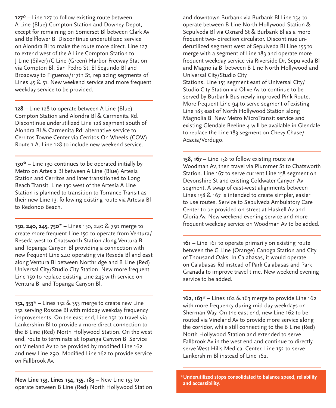**127\* –** Line 127 to follow existing route between A Line (Blue) Compton Station and Downey Depot, except for remaining on Somerset Bl between Clark Av and Bellflower Bl Discontinue underutilized service on Alondra Bl to make the route more direct. Line 127 to extend west of the A Line Compton Station to J Line (Silver)/C Line (Green) Harbor Freeway Station via Compton Bl, San Pedro St, El Segundo Bl and Broadway to Figueroa/117th St, replacing segments of Lines 45 & 51. New weekend service and more frequent weekday service to be provided.

**128 –** Line 128 to operate between A Line (Blue) Compton Station and Alondra Bl & Carmenita Rd. Discontinue underutilized Line 128 segment south of Alondra Bl & Carmenita Rd; alternative service to Cerritos Towne Center via Cerritos On Wheels (COW) Route 1-A. Line 128 to include new weekend service.

**130\* –** Line 130 continues to be operated initially by Metro on Artesia Bl between A Line (Blue) Artesia Station and Cerritos and later transitioned to Long Beach Transit. Line 130 west of the Artesia A Line Station is planned to transition to Torrance Transit as their new Line 13, following existing route via Artesia Bl to Redondo Beach.

**150, 240, 245, 750\* –** Lines 150, 240 & 750 merge to create more frequent Line 150 to operate from Ventura/ Reseda west to Chatsworth Station along Ventura Bl and Topanga Canyon Bl providing a connection with new frequent Line 240 operating via Reseda Bl and east along Ventura Bl between Northridge and B Line (Red) Universal City/Studio City Station. New more frequent Line 150 to replace existing Line 245 with service on Ventura Bl and Topanga Canyon Bl.

**152, 353\* –** Lines 152 & 353 merge to create new Line 152 serving Roscoe Bl with midday weekday frequency improvements. On the east end, Line 152 to travel via Lankershim Bl to provide a more direct connection to the B Line (Red) North Hollywood Station. On the west end, route to terminate at Topanga Canyon Bl Service on Vineland Av to be provided by modified Line 162 and new Line 290. Modified Line 162 to provide service on Fallbrook Av.

**New Line 153, Lines 154, 155, 183 –** New Line 153 to operate between B Line (Red) North Hollywood Station and downtown Burbank via Burbank Bl Line 154 to operate between B Line North Hollywood Station & Sepulveda Bl via Oxnard St & Burbank Bl as a more frequent two- direction circulator. Discontinue underutilized segment west of Sepulveda Bl Line 155 to merge with a segment of Line 183 and operate more frequent weekday service via Riverside Dr, Sepulveda Bl and Magnolia Bl between B Line North Hollywood and Universal City/Studio City Stations. Line 155 segment east of Universal City/ Studio City Station via Olive Av to continue to be served by Burbank Bus newly improved Pink Route. More frequent Line 94 to serve segment of existing Line 183 east of North Hollywood Station along Magnolia Bl New Metro MicroTransit service and existing Glendale Beeline 4 will be available in Glendale to replace the Line 183 segment on Chevy Chase/ Acacia/Verdugo.

**158, 167 –** Line 158 to follow existing route via Woodman Av, then travel via Plummer St to Chatsworth Station. Line 167 to serve current Line 158 segment on Devonshire St and existing Coldwater Canyon Av segment. A swap of east-west alignments between Lines 158 & 167 is intended to create simpler, easier to use routes. Service to Sepulveda Ambulatory Care Center to be provided on-street at Haskell Av and Gloria Av. New weekend evening service and more frequent weekday service on Woodman Av to be added.

**161 –** Line 161 to operate primarily on existing route between the G Line (Orange) Canoga Station and City of Thousand Oaks. In Calabasas, it would operate on Calabasas Rd instead of Park Calabasas and Park Granada to improve travel time. New weekend evening service to be added.

**162, 163\* –** Lines 162 & 163 merge to provide Line 162 with more frequency during mid-day weekdays on Sherman Way. On the east end, new Line 162 to be routed via Vineland Av to provide more service along the corridor, while still connecting to the B Line (Red) North Hollywood Station and extended to serve Fallbrook Av in the west end and continue to directly serve West Hills Medical Center. Line 152 to serve Lankershim Bl instead of Line 162.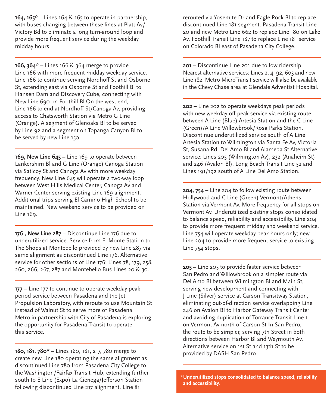**164, 165\* –** Lines 164 & 165 to operate in partnership, with buses changing between these lines at Platt Av/ Victory Bd to eliminate a long turn-around loop and provide more frequent service during the weekday midday hours.

**166, 364\* –** Lines 166 & 364 merge to provide Line 166 with more frequent midday weekday service. Line 166 to continue serving Nordhoff St and Osborne St, extending east via Osborne St and Foothill Bl to Hansen Dam and Discovery Cube, connecting with New Line 690 on Foothill Bl On the west end, Line 166 to end at Nordhoff St/Canoga Av, providing access to Chatsworth Station via Metro G Line (Orange). A segment of Glenoaks Bl to be served by Line 92 and a segment on Topanga Canyon Bl to be served by new Line 150.

**169, New Line 645 –** Line 169 to operate between Lankershim Bl and G Line (Orange) Canoga Station via Saticoy St and Canoga Av with more weekday frequency. New Line 645 will operate a two-way loop between West Hills Medical Center, Canoga Av and Warner Center serving existing Line 169 alignment. Additional trips serving El Camino High School to be maintained. New weekend service to be provided on Line 169.

**176 , New Line 287 –** Discontinue Line 176 due to underutilized service. Service from El Monte Station to The Shops at Montebello provided by new Line 287 via same alignment as discontinued Line 176. Alternative service for other sections of Line 176: Lines 78, 179, 258, 260, 266, 267, 287 and Montebello Bus Lines 20 & 30.

**177 – Line 177 to continue to operate weekday peak** period service between Pasadena and the Jet Propulsion Laboratory, with reroute to use Mountain St instead of Walnut St to serve more of Pasadena. Metro in partnership with City of Pasadena is exploring the opportunity for Pasadena Transit to operate this service.

**180, 181, 780\* –** Lines 180, 181, 217, 780 merge to create new Line 180 operating the same alignment as discontinued Line 780 from Pasadena City College to the Washington/Fairfax Transit Hub, extending further south to E Line (Expo) La Cienega/Jefferson Station following discontinued Line 217 alignment. Line 81

rerouted via Yosemite Dr and Eagle Rock Bl to replace discontinued Line 181 segment. Pasadena Transit Line 20 and new Metro Line 662 to replace Line 180 on Lake Av. Foothill Transit Line 187 to replace Line 181 service on Colorado Bl east of Pasadena City College.

**201 –** Discontinue Line 201 due to low ridership. Nearest alternative services: Lines 2, 4, 92, 603 and new Line 182. Metro MicroTransit service will also be available in the Chevy Chase area at Glendale Adventist Hospital.

**202 –** Line 202 to operate weekdays peak periods with new weekday off-peak service via existing route between A Line (Blue) Artesia Station and the C Line (Green)/A Line Willowbrook/Rosa Parks Station. Discontinue underutilized service south of A Line Artesia Station to Wilmington via Santa Fe Av, Victoria St, Susana Rd, Del Amo Bl and Alameda St Alternative service: Lines 205 (Wilmington Av), 232 (Anaheim St) and 246 (Avalon Bl), Long Beach Transit Line 52 and Lines 191/192 south of A Line Del Amo Station.

**204, 754 –** Line 204 to follow existing route between Hollywood and C Line (Green) Vermont/Athens Station via Vermont Av. More frequency for all stops on Vermont Av. Underutilized existing stops consolidated to balance speed, reliability and accessibility. Line 204 to provide more frequent midday and weekend service. Line 754 will operate weekday peak hours only; new Line 204 to provide more frequent service to existing Line 754 stops.

**205 –** Line 205 to provide faster service between San Pedro and Willowbrook on a simpler route via Del Amo Bl between Wilmington Bl and Main St, serving new development and connecting with J Line (Silver) service at Carson Transitway Station, eliminating out-of-direction service overlapping Line 246 on Avalon Bl to Harbor Gateway Transit Center and avoiding duplication of Torrance Transit Line 1 on Vermont Av north of Carson St In San Pedro, the route to be simpler, serving 7th Street in both directions between Harbor Bl and Weymouth Av. Alternative service on 1st St and 13th St to be provided by DASH San Pedro.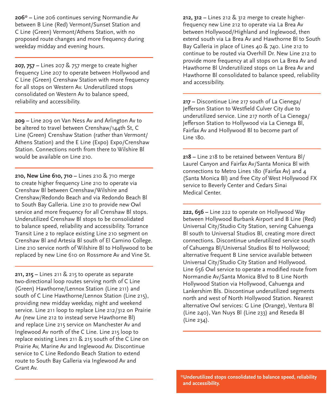**206\* –** Line 206 continues serving Normandie Av between B Line (Red) Vermont/Sunset Station and C Line (Green) Vermont/Athens Station, with no proposed route changes and more frequency during weekday midday and evening hours.

**207, 757 –** Lines 207 & 757 merge to create higher frequency Line 207 to operate between Hollywood and C Line (Green) Crenshaw Station with more frequency for all stops on Western Av. Underutilized stops consolidated on Western Av to balance speed, reliability and accessibility.

**209 –** Line 209 on Van Ness Av and Arlington Av to be altered to travel between Crenshaw/144th St, C Line (Green) Crenshaw Station (rather than Vermont/ Athens Station) and the E Line (Expo) Expo/Crenshaw Station. Connections north from there to Wilshire Bl would be available on Line 210.

**210, New Line 610, 710 –** Lines 210 & 710 merge to create higher frequency Line 210 to operate via Crenshaw Bl between Crenshaw/Wilshire and Crenshaw/Redondo Beach and via Redondo Beach Bl to South Bay Galleria. Line 210 to provide new Owl service and more frequency for all Crenshaw Bl stops. Underutilized Crenshaw Bl stops to be consolidated to balance speed, reliability and accessibility. Torrance Transit Line 2 to replace existing Line 210 segment on Crenshaw Bl and Artesia Bl south of El Camino College. Line 210 service north of Wilshire Bl to Hollywood to be replaced by new Line 610 on Rossmore Av and Vine St.

**211, 215 –** Lines 211 & 215 to operate as separate two-directional loop routes serving north of C Line (Green) Hawthorne/Lennox Station (Line 211) and south of C Line Hawthorne/Lennox Station (Line 215), providing new midday weekday, night and weekend service. Line 211 loop to replace Line 212/312 on Prairie Av (new Line 212 to instead serve Hawthorne Bl) and replace Line 215 service on Manchester Av and Inglewood Av north of the C Line. Line 215 loop to replace existing Lines 211 & 215 south of the C Line on Prairie Av, Marine Av and Inglewood Av. Discontinue service to C Line Redondo Beach Station to extend route to South Bay Galleria via Inglewood Av and Grant Av.

**212, 312 –** Lines 212 & 312 merge to create higherfrequency new Line 212 to operate via La Brea Av between Hollywood/Highland and Inglewood, then extend south via La Brea Av and Hawthorne Bl to South Bay Galleria in place of Lines 40 & 740. Line 212 to continue to be routed via Overhill Dr. New Line 212 to provide more frequency at all stops on La Brea Av and Hawthorne Bl Underutilized stops on La Brea Av and Hawthorne Bl consolidated to balance speed, reliability and accessibility.

**217 –** Discontinue Line 217 south of La Cienega/ Jefferson Station to Westfield Culver City due to underutilized service. Line 217 north of La Cienega/ Jefferson Station to Hollywood via La Cienega Bl, Fairfax Av and Hollywood Bl to become part of  $line 180.$ 

**218 –** Line 218 to be retained between Ventura Bl/ Laurel Canyon and Fairfax Av/Santa Monica Bl with connections to Metro Lines 180 (Fairfax Av) and 4 (Santa Monica Bl) and free City of West Hollywood FX service to Beverly Center and Cedars Sinai Medical Center.

**222, 656 –** Line 222 to operate on Hollywood Way between Hollywood Burbank Airport and B Line (Red) Universal City/Studio City Station, serving Cahuenga Bl south to Universal Studios Bl, creating more direct connections. Discontinue underutilized service south of Cahuenga Bl/Universal Studios Bl to Hollywood; alternative frequent B Line service available between Universal City/Studio City Station and Hollywood. Line 656 Owl service to operate a modified route from Normandie Av/Santa Monica Blvd to B Line North Hollywood Station via Hollywood, Cahuenga and Lankershim Bls. Discontinue underutilized segments north and west of North Hollywood Station. Nearest alternative Owl services: G Line (Orange), Ventura Bl (Line 240), Van Nuys Bl (Line 233) and Reseda Bl (Line 234).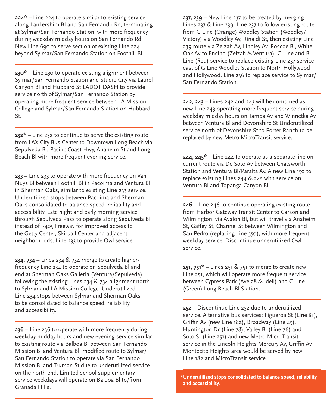**224\* –** Line 224 to operate similar to existing service along Lankershim Bl and San Fernando Rd, terminating at Sylmar/San Fernando Station, with more frequency during weekday midday hours on San Fernando Rd. New Line 690 to serve section of existing Line 224 beyond Sylmar/San Fernando Station on Foothill Bl.

**230\* –** Line 230 to operate existing alignment between Sylmar/San Fernando Station and Studio City via Laurel Canyon Bl and Hubbard St LADOT DASH to provide service north of Sylmar/San Fernando Station by operating more frequent service between LA Mission College and Sylmar/San Fernando Station on Hubbard St.

**232\* –** Line 232 to continue to serve the existing route from LAX City Bus Center to Downtown Long Beach via Sepulveda Bl, Pacific Coast Hwy, Anaheim St and Long Beach Bl with more frequent evening service.

**233 –** Line 233 to operate with more frequency on Van Nuys Bl between Foothill Bl in Pacoima and Ventura Bl in Sherman Oaks, similar to existing Line 233 service. Underutilized stops between Pacoima and Sherman Oaks consolidated to balance speed, reliability and accessibility. Late night and early morning service through Sepulveda Pass to operate along Sepulveda Bl instead of I-405 Freeway for improved access to the Getty Center, Skirball Center and adjacent neighborhoods. Line 233 to provide Owl service.

**234, 734 –** Lines 234 & 734 merge to create higherfrequency Line 234 to operate on Sepulveda Bl and end at Sherman Oaks Galleria (Ventura/Sepulveda), following the existing Lines 234 & 734 alignment north to Sylmar and LA Mission College. Underutilized Line 234 stops between Sylmar and Sherman Oaks to be consolidated to balance speed, reliability, and accessibility.

**236 –** Line 236 to operate with more frequency during weekday midday hours and new evening service similar to existing route via Balboa Bl between San Fernando Mission Bl and Ventura Bl; modified route to Sylmar/ San Fernando Station to operate via San Fernando Mission Bl and Truman St due to underutilized service on the north end. Limited school supplementary service weekdays will operate on Balboa Bl to/from Granada Hills.

**237, 239 –** New Line 237 to be created by merging Lines 237 & Line 239. Line 237 to follow existing route from G Line (Orange) Woodley Station (Woodley/ Victory) via Woodley Av, Rinaldi St, then existing Line 239 route via Zelzah Av, Lindley Av, Roscoe Bl, White Oak Av to Encino (Zelzah & Ventura). G Line and B Line (Red) service to replace existing Line 237 service east of G Line Woodley Station to North Hollywood and Hollywood. Line 236 to replace service to Sylmar/ San Fernando Station.

**242, 243 –** Lines 242 and 243 will be combined as new Line 243 operating more frequent service during weekday midday hours on Tampa Av and Winnetka Av between Ventura Bl and Devonshire St Underutilized service north of Devonshire St to Porter Ranch to be replaced by new Metro MicroTransit service.

**244, 245\* –** Line 244 to operate as a separate line on current route via De Soto Av between Chatsworth Station and Ventura Bl/Paralta Av. A new Line 150 to replace existing Lines 244 & 245 with service on Ventura Bl and Topanga Canyon Bl.

**246 –** Line 246 to continue operating existing route from Harbor Gateway Transit Center to Carson and Wilmington, via Avalon Bl, but will travel via Anaheim St, Gaffey St, Channel St between Wilmington and San Pedro (replacing Line 550), with more frequent weekday service. Discontinue underutilized Owl service.

**251, 751\* –** Lines 251 & 751 to merge to create new Line 251, which will operate more frequent service between Cypress Park (Ave 28 & Idell) and C Line (Green) Long Beach Bl Station.

**252 –** Discontinue Line 252 due to underutilized service. Alternative bus services: Figueroa St (Line 81), Griffin Av (new Line 182), Broadway (Line 45), Huntington Dr (Line 78), Valley Bl (Line 76) and Soto St (Line 251) and new Metro MicroTransit service in the Lincoln Heights Mercury Av, Griffin Av Montecito Heights area would be served by new Line 182 and MicroTransit service.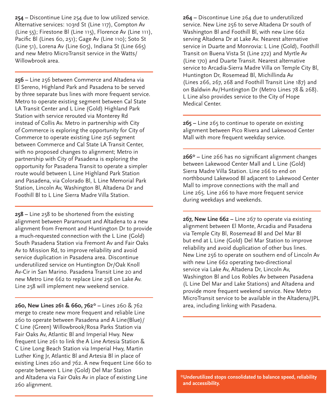**254 –** Discontinue Line 254 due to low utilized service. Alternative services: 103rd St (Line 117), Compton Av (Line 55); Firestone Bl (Line 115), Florence Av (Line 111), Pacific Bl (Lines 60, 251); Gage Av (Line 110); Soto St (Line 51), Lorena Av (Line 605), Indiana St (Line 665) and new Metro MicroTransit service in the Watts/ Willowbrook area.

**256 –** Line 256 between Commerce and Altadena via El Sereno, Highland Park and Pasadena to be served by three separate bus lines with more frequent service. Metro to operate existing segment between Cal State LA Transit Center and L Line (Gold) Highland Park Station with service rerouted via Monterey Rd instead of Collis Av. Metro in partnership with City of Commerce is exploring the opportunity for City of Commerce to operate existing Line 256 segment between Commerce and Cal State LA Transit Center, with no proposed changes to alignment; Metro in partnership with City of Pasadena is exploring the opportunity for Pasadena Transit to operate a simpler route would between L Line Highland Park Station and Pasadena, via Colorado Bl, L Line Memorial Park Station, Lincoln Av, Washington Bl, Altadena Dr and Foothill Bl to L Line Sierra Madre Villa Station.

**258 –** Line 258 to be shortened from the existing alignment between Paramount and Altadena to a new alignment from Fremont and Huntington Dr to provide a much-requested connection with the L Line (Gold) South Pasadena Station via Fremont Av and Fair Oaks Av to Mission Rd, to improve reliability and avoid service duplication in Pasadena area. Discontinue underutilized service on Huntington Dr/Oak Knoll Av-Cir in San Marino. Pasadena Transit Line 20 and new Metro Line 662 to replace Line 258 on Lake Av. Line 258 will implement new weekend service.

**260, New Lines 261 & 660, 762\* –** Lines 260 & 762 merge to create new more frequent and reliable Line 260 to operate between Pasadena and A Line(Blue)/ C Line (Green) Willowbrook/Rosa Parks Station via Fair Oaks Av, Atlantic Bl and Imperial Hwy. New frequent Line 261 to link the A Line Artesia Station & C Line Long Beach Station via Imperial Hwy, Martin Luther King Jr, Atlantic Bl and Artesia Bl in place of existing Lines 260 and 762. A new frequent Line 660 to operate between L Line (Gold) Del Mar Station and Altadena via Fair Oaks Av in place of existing Line 260 alignment.

**264 –** Discontinue Line 264 due to underutilized service. New Line 256 to serve Altadena Dr south of Washington Bl and Foothill Bl, with new Line 662 serving Altadena Dr at Lake Av. Nearest alternative service in Duarte and Monrovia: L Line (Gold), Foothill Transit on Buena Vista St (Line 272) and Myrtle Av (Line 170) and Duarte Transit. Nearest alternative service to Arcadia-Sierra Madre Villa on Temple City Bl, Huntington Dr, Rosemead Bl, Michillinda Av (Lines 266, 267, 268 and Foothill Transit Line 187) and on Baldwin Av/Huntington Dr (Metro Lines 78 & 268). L Line also provides service to the City of Hope Medical Center.

**265 –** Line 265 to continue to operate on existing alignment between Pico Rivera and Lakewood Center Mall with more frequent weekday service.

**266\* –** Line 266 has no significant alignment changes between Lakewood Center Mall and L Line (Gold) Sierra Madre Villa Station. Line 266 to end on northbound Lakewood Bl adjacent to Lakewood Center Mall to improve connections with the mall and Line 265. Line 266 to have more frequent service during weekdays and weekends.

**267, New Line 662 –** Line 267 to operate via existing alignment between El Monte, Arcadia and Pasadena via Temple City Bl, Rosemead Bl and Del Mar Bl but end at L Line (Gold) Del Mar Station to improve reliability and avoid duplication of other bus lines. New Line 256 to operate on southern end of Lincoln Av with new Line 662 operating two-directional service via Lake Av, Altadena Dr, Lincoln Av, Washington Bl and Los Robles Av between Pasadena (L Line Del Mar and Lake Stations) and Altadena and provide more frequent weekend service. New Metro MicroTransit service to be available in the Altadena/JPL area, including linking with Pasadena.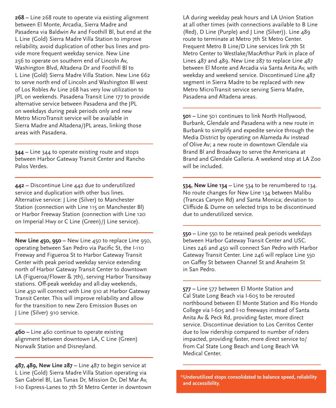**268 –** Line 268 route to operate via existing alignment between El Monte, Arcadia, Sierra Madre and Pasadena via Baldwin Av and Foothill Bl, but end at the L Line (Gold) Sierra Madre Villa Station to improve reliability, avoid duplication of other bus lines and provide more frequent weekday service. New Line 256 to operate on southern end of Lincoln Av, Washington Blvd, Altadena Dr and Foothill Bl to L Line (Gold) Sierra Madre Villa Station. New Line 662 to serve north end of Lincoln and Washington Bl west of Los Robles Av Line 268 has very low utilization to JPL on weekends. Pasadena Transit Line 177 to provide alternative service between Pasadena and the JPL on weekdays during peak periods only and new Metro MicroTransit service will be available in Sierra Madre and Altadena/JPL areas, linking those areas with Pasadena.

**344 –** Line 344 to operate existing route and stops between Harbor Gateway Transit Center and Rancho Palos Verdes.

**442 –** Discontinue Line 442 due to underutilized service and duplication with other bus lines. Alternative service: J Line (Silver) to Manchester Station (connection with Line 115 on Manchester Bl) or Harbor Freeway Station (connection with Line 120 on Imperial Hwy or C Line (Green)/J Line service).

**New Line 450, 950 –** New Line 450 to replace Line 950, operating between San Pedro via Pacific St, the I-110 Freeway and Figueroa St to Harbor Gateway Transit Center with peak period weekday service extending north of Harbor Gateway Transit Center to downtown LA (Figueroa/Flower & 7th), serving Harbor Transitway stations. Off-peak weekday and all-day weekends, Line 450 will connect with Line 910 at Harbor Gateway Transit Center. This will improve reliability and allow for the transition to new Zero Emission Buses on J Line (Silver) 910 service.

**460 –** Line 460 continue to operate existing alignment between downtown LA, C Line (Green) Norwalk Station and Disneyland.

**487, 489, New Line 287 –** Line 487 to begin service at L Line (Gold) Sierra Madre Villa Station operating via San Gabriel Bl, Las Tunas Dr, Mission Dr, Del Mar Av, I-10 Express-Lanes to 7th St Metro Center in downtown

LA during weekday peak hours and LA Union Station at all other times (with connections available to B Line (Red), D Line (Purple) and J Line (Silver)). Line 489 route to terminate at Metro 7th St Metro Center. Frequent Metro B Line/D Line services link 7th St Metro Center to Westlake/MacArthur Park in place of Lines 487 and 489. New Line 287 to replace Line 487 between El Monte and Arcadia via Santa Anita Av, with weekday and weekend service. Discontinued Line 487 segment in Sierra Madre to be replaced with new Metro MicroTransit service serving Sierra Madre, Pasadena and Altadena areas.

**501 –** Line 501 continues to link North Hollywood, Burbank, Glendale and Pasadena with a new route in Burbank to simplify and expedite service through the Media District by operating on Alameda Av instead of Olive Av; a new route in downtown Glendale via Brand Bl and Broadway to serve the Americana at Brand and Glendale Galleria. A weekend stop at LA Zoo will be included.

**534, New Line 134 –** Line 534 to be renumbered to 134. No route changes for New Line 134 between Malibu (Trancas Canyon Rd) and Santa Monica; deviation to Cliffside & Dume on selected trips to be discontinued due to underutilized service.

**550 –** Line 550 to be retained peak periods weekdays between Harbor Gateway Transit Center and USC. Lines 246 and 450 will connect San Pedro with Harbor Gateway Transit Center. Line 246 will replace Line 550 on Gaffey St between Channel St and Anaheim St in San Pedro.

**577 –** Line 577 between El Monte Station and Cal State Long Beach via I-605 to be rerouted northbound between El Monte Station and Rio Hondo College via I-605 and I-10 freeways instead of Santa Anita Av & Peck Rd, providing faster, more direct service. Discontinue deviation to Los Cerritos Center due to low ridership compared to number of riders impacted, providing faster, more direct service to/ from Cal State Long Beach and Long Beach VA Medical Center.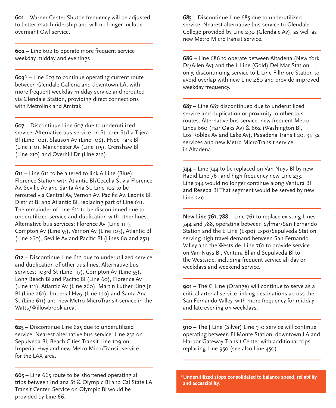**601 –** Warner Center Shuttle frequency will be adjusted to better match ridership and will no longer include overnight Owl service.

**602 –** Line 602 to operate more frequent service weekday midday and evenings

**603\* –** Line 603 to continue operating current route between Glendale Galleria and downtown LA, with more frequent weekday midday service and rerouted via Glendale Station, providing direct connections with Metrolink and Amtrak.

**607 –** Discontinue Line 607 due to underutilized service. Alternative bus service on Stocker St/La Tijera Bl (Line 102), Slauson Av (Line 108), Hyde Park Bl (Line 110), Manchester Av (Line 115), Crenshaw Bl (Line 210) and Overhill Dr (Line 212).

**611 –** Line 611 to be altered to link A Line (Blue) Florence Station with Atlantic Bl/Cecelia St via Florence Av, Seville Av and Santa Ana St. Line 102 to be rerouted via Central Av, Vernon Av, Pacific Av, Leonis Bl, District Bl and Atlantic Bl, replacing part of Line 611. The remainder of Line 611 to be discontinued due to underutilized service and duplication with other lines. Alternative bus services: Florence Av (Line 111), Compton Av (Line 55), Vernon Av (Line 105), Atlantic Bl (Line 260), Seville Av and Pacific Bl (Lines 60 and 251).

**612 –** Discontinue Line 612 due to underutilized service and duplication of other bus lines. Alternative bus services: 103rd St (Line 117), Compton Av (Line 55), Long Beach Bl and Pacific Bl (Line 60), Florence Av (Line 111), Atlantic Av (Line 260), Martin Luther King Jr. Bl (Line 261), Imperial Hwy (Line 120) and Santa Ana St (Line 611) and new Metro MicroTransit service in the Watts/Willowbrook area.

**625 –** Discontinue Line 625 due to underutilized service. Nearest alternative bus service: Line 232 on Sepulveda Bl, Beach Cities Transit Line 109 on Imperial Hwy and new Metro MicroTransit service for the LAX area.

**665 –** Line 665 route to be shortened operating all trips between Indiana St & Olympic Bl and Cal State LA Transit Center. Service on Olympic Bl would be provided by Line 66.

**685 –** Discontinue Line 685 due to underutilized service. Nearest alternative bus service to Glendale College provided by Line 290 (Glendale Av), as well as new Metro MicroTransit service.

**686 –** Line 686 to operate between Altadena (New York Dr/Allen Av) and the L Line (Gold) Del Mar Station only, discontinuing service to L Line Fillmore Station to avoid overlap with new Line 260 and provide improved weekday frequency.

**687 –** Line 687 discontinued due to underutilized service and duplication or proximity to other bus routes. Alternative bus service: new frequent Metro Lines 660 (Fair Oaks Av) & 662 (Washington Bl, Los Robles Av and Lake Av), Pasadena Transit 20, 31, 32 services and new Metro MicroTransit service in Altadena.

**744 –** Line 744 to be replaced on Van Nuys Bl by new Rapid Line 761 and high frequency new Line 233. Line 744 would no longer continue along Ventura Bl and Reseda Bl That segment would be served by new Line 240.

**New Line 761, 788 –** Line 761 to replace existing Lines 744 and 788, operating between Sylmar/San Fernando Station and the E Line (Expo) Expo/Sepulveda Station, serving high travel demand between San Fernando Valley and the Westside. Line 761 to provide service on Van Nuys Bl, Ventura Bl and Sepulveda Bl to the Westside, including frequent service all day on weekdays and weekend service.

**901 –** The G Line (Orange) will continue to serve as a critical arterial service linking destinations across the San Fernando Valley, with more frequency for midday and late evening on weekdays.

**910 –** The J Line (Silver) Line 910 service will continue operating between El Monte Station, downtown LA and Harbor Gateway Transit Center with additional trips replacing Line 950 (see also Line 450).